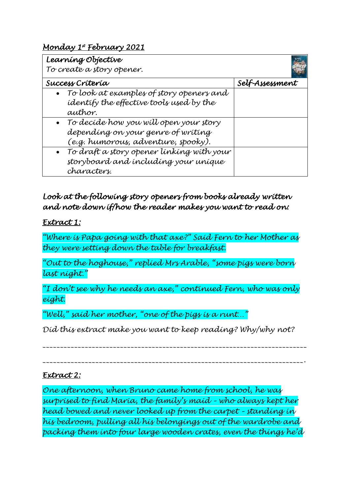## *Monday 1st February 2021*

| Learning Objective                          |                 |
|---------------------------------------------|-----------------|
| To create a story opener.                   |                 |
| Success Crítería                            | Self-Assessment |
| To look at examples of story openers and    |                 |
| identify the effective tools used by the    |                 |
| author.                                     |                 |
| • To decíde how you will open your story    |                 |
| depending on your genre of writing          |                 |
| (e.g. humorous, adventure, spooky).         |                 |
| • To draft a story opener linking with your |                 |
| storyboard and including your unique        |                 |
| characters.                                 |                 |

## *Look at the following story openers from books already written and note down if/how the reader makes you want to read on:*

#### *Extract 1:*

*"Where is Papa going with that axe?" Said Fern to her Mother as they were setting down the table for breakfast.* 

*"Out to the hoghouse," replied Mrs Arable, "some pigs were born last night."*

*"I don't see why he needs an axe," continued Fern, who was only eight.* 

*"Well," said her mother, "one of the pigs is a runt…"*

*Did this extract make you want to keep reading? Why/why not?* 

*\_\_\_\_\_\_\_\_\_\_\_\_\_\_\_\_\_\_\_\_\_\_\_\_\_\_\_\_\_\_\_\_\_\_\_\_\_\_\_\_\_\_\_\_\_\_\_\_\_\_\_\_\_\_\_\_\_\_\_\_\_\_\_\_\_\_\_\_\_\_\_\_\_\_\_*

*\_\_\_\_\_\_\_\_\_\_\_\_\_\_\_\_\_\_\_\_\_\_\_\_\_\_\_\_\_\_\_\_\_\_\_\_\_\_\_\_\_\_\_\_\_\_\_\_\_\_\_\_\_\_\_\_\_\_\_\_\_\_\_\_\_\_\_\_\_\_\_\_\_\_.* 

#### *Extract 2:*

*One afternoon, when Bruno came home from school, he was surprised to find Maria, the family's maid – who always kept her head bowed and never looked up from the carpet – standing in his bedroom, pulling all his belongings out of the wardrobe and packing them into four large wooden crates, even the things he'd*